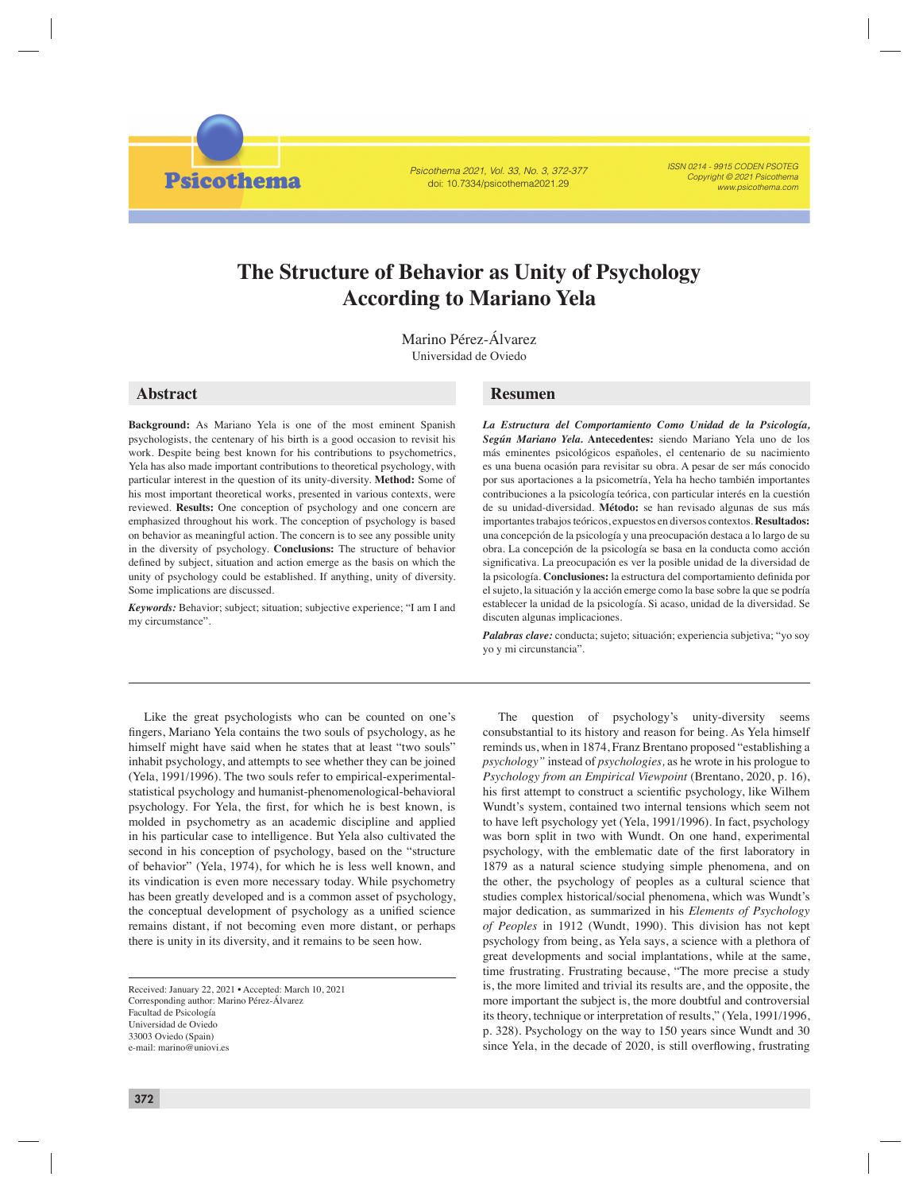Psicothema 2021, Vol. 33, No. 3, 372-377 doi: 10.7334/psicothema2021.29

ISSN 0214 - 9915 CODEN PSOTEG Copyright © 2021 Psicothema www.psicothema.com

# **The Structure of Behavior as Unity of Psychology According to Mariano Yela**

Marino Pérez-Álvarez Universidad de Oviedo

**Psicothema** 

**Background:** As Mariano Yela is one of the most eminent Spanish psychologists, the centenary of his birth is a good occasion to revisit his work. Despite being best known for his contributions to psychometrics, Yela has also made important contributions to theoretical psychology, with particular interest in the question of its unity-diversity. **Method:** Some of his most important theoretical works, presented in various contexts, were reviewed. **Results:** One conception of psychology and one concern are emphasized throughout his work. The conception of psychology is based on behavior as meaningful action. The concern is to see any possible unity in the diversity of psychology. **Conclusions:** The structure of behavior defined by subject, situation and action emerge as the basis on which the unity of psychology could be established. If anything, unity of diversity. Some implications are discussed.

*Keywords:* Behavior; subject; situation; subjective experience; "I am I and my circumstance".

## **Abstract Resumen**

*La Estructura del Comportamiento Como Unidad de la Psicología, Según Mariano Yela.* **Antecedentes:** siendo Mariano Yela uno de los más eminentes psicológicos españoles, el centenario de su nacimiento es una buena ocasión para revisitar su obra. A pesar de ser más conocido por sus aportaciones a la psicometría, Yela ha hecho también importantes contribuciones a la psicología teórica, con particular interés en la cuestión de su unidad-diversidad. **Método:** se han revisado algunas de sus más importantes trabajos teóricos, expuestos en diversos contextos. **Resultados:**  una concepción de la psicología y una preocupación destaca a lo largo de su obra. La concepción de la psicología se basa en la conducta como acción significativa. La preocupación es ver la posible unidad de la diversidad de la psicología. **Conclusiones:** la estructura del comportamiento definida por el sujeto, la situación y la acción emerge como la base sobre la que se podría establecer la unidad de la psicología. Si acaso, unidad de la diversidad. Se discuten algunas implicaciones.

*Palabras clave:* conducta; sujeto; situación; experiencia subjetiva; "yo soy yo y mi circunstancia".

Like the great psychologists who can be counted on one's fingers, Mariano Yela contains the two souls of psychology, as he himself might have said when he states that at least "two souls" inhabit psychology, and attempts to see whether they can be joined (Yela, 1991/1996). The two souls refer to empirical-experimentalstatistical psychology and humanist-phenomenological-behavioral psychology. For Yela, the first, for which he is best known, is molded in psychometry as an academic discipline and applied in his particular case to intelligence. But Yela also cultivated the second in his conception of psychology, based on the "structure of behavior" (Yela, 1974), for which he is less well known, and its vindication is even more necessary today. While psychometry has been greatly developed and is a common asset of psychology, the conceptual development of psychology as a unified science remains distant, if not becoming even more distant, or perhaps there is unity in its diversity, and it remains to be seen how.

Received: January 22, 2021 • Accepted: March 10, 2021 Corresponding author: Marino Pérez-Álvarez Facultad de Psicología Universidad de Oviedo 33003 Oviedo (Spain) e-mail: marino@uniovi.es

The question of psychology's unity-diversity seems consubstantial to its history and reason for being. As Yela himself reminds us, when in 1874, Franz Brentano proposed "establishing a *psychology"* instead of *psychologies,* as he wrote in his prologue to *Psychology from an Empirical Viewpoint* (Brentano, 2020, p. 16), his first attempt to construct a scientific psychology, like Wilhem Wundt's system, contained two internal tensions which seem not to have left psychology yet (Yela, 1991/1996). In fact, psychology was born split in two with Wundt. On one hand, experimental psychology, with the emblematic date of the first laboratory in 1879 as a natural science studying simple phenomena, and on the other, the psychology of peoples as a cultural science that studies complex historical/social phenomena, which was Wundt's major dedication, as summarized in his *Elements of Psychology of Peoples* in 1912 (Wundt, 1990). This division has not kept psychology from being, as Yela says, a science with a plethora of great developments and social implantations, while at the same, time frustrating. Frustrating because, "The more precise a study is, the more limited and trivial its results are, and the opposite, the more important the subject is, the more doubtful and controversial its theory, technique or interpretation of results," (Yela, 1991/1996, p. 328). Psychology on the way to 150 years since Wundt and 30 since Yela, in the decade of 2020, is still overflowing, frustrating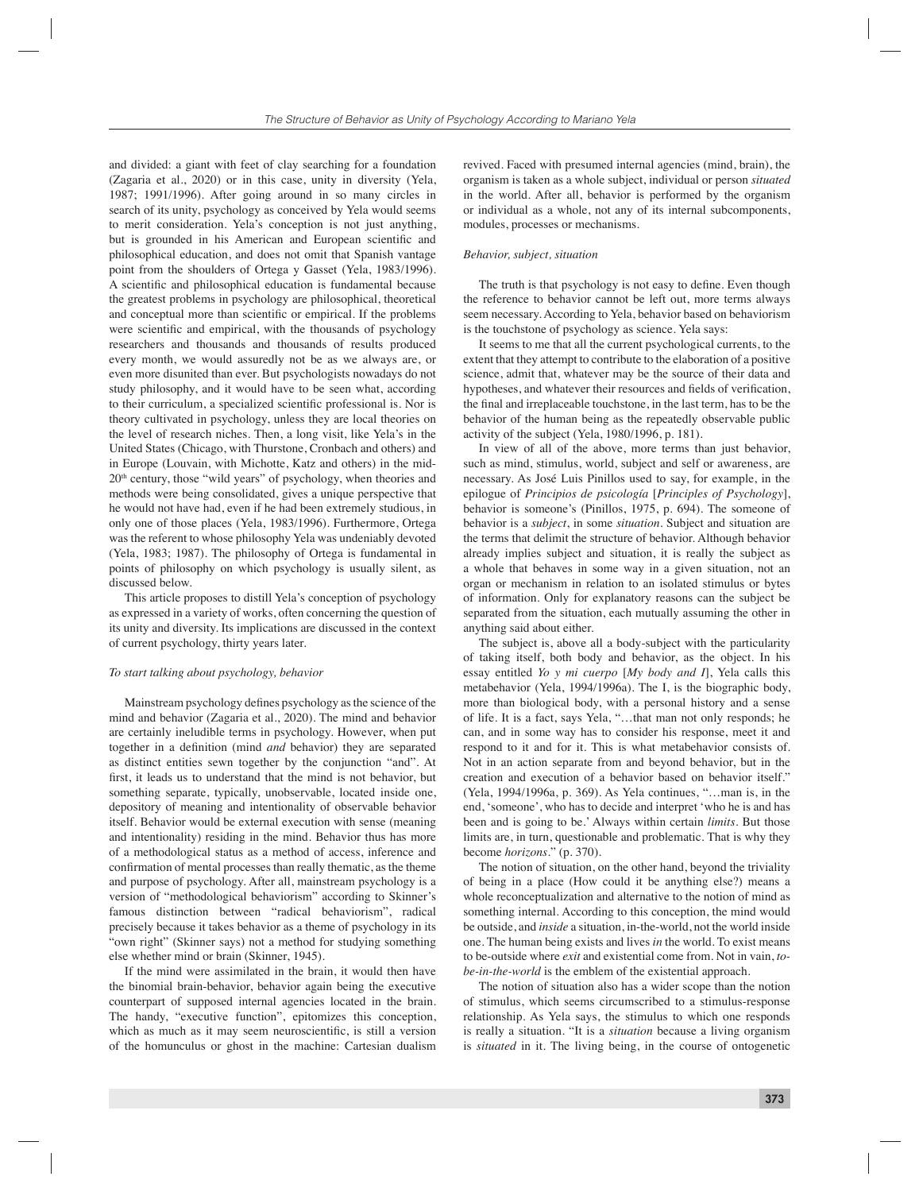and divided: a giant with feet of clay searching for a foundation (Zagaria et al., 2020) or in this case, unity in diversity (Yela, 1987; 1991/1996). After going around in so many circles in search of its unity, psychology as conceived by Yela would seems to merit consideration. Yela's conception is not just anything, but is grounded in his American and European scientific and philosophical education, and does not omit that Spanish vantage point from the shoulders of Ortega y Gasset (Yela, 1983/1996). A scientific and philosophical education is fundamental because the greatest problems in psychology are philosophical, theoretical and conceptual more than scientific or empirical. If the problems were scientific and empirical, with the thousands of psychology researchers and thousands and thousands of results produced every month, we would assuredly not be as we always are, or even more disunited than ever. But psychologists nowadays do not study philosophy, and it would have to be seen what, according to their curriculum, a specialized scientific professional is. Nor is theory cultivated in psychology, unless they are local theories on the level of research niches. Then, a long visit, like Yela's in the United States (Chicago, with Thurstone, Cronbach and others) and in Europe (Louvain, with Michotte, Katz and others) in the mid- $20<sup>th</sup>$  century, those "wild years" of psychology, when theories and methods were being consolidated, gives a unique perspective that he would not have had, even if he had been extremely studious, in only one of those places (Yela, 1983/1996). Furthermore, Ortega was the referent to whose philosophy Yela was undeniably devoted (Yela, 1983; 1987). The philosophy of Ortega is fundamental in points of philosophy on which psychology is usually silent, as discussed below.

This article proposes to distill Yela's conception of psychology as expressed in a variety of works, often concerning the question of its unity and diversity. Its implications are discussed in the context of current psychology, thirty years later.

#### *To start talking about psychology, behavior*

Mainstream psychology defines psychology as the science of the mind and behavior (Zagaria et al., 2020). The mind and behavior are certainly ineludible terms in psychology. However, when put together in a definition (mind *and* behavior) they are separated as distinct entities sewn together by the conjunction "and". At first, it leads us to understand that the mind is not behavior, but something separate, typically, unobservable, located inside one, depository of meaning and intentionality of observable behavior itself. Behavior would be external execution with sense (meaning and intentionality) residing in the mind. Behavior thus has more of a methodological status as a method of access, inference and confirmation of mental processes than really thematic, as the theme and purpose of psychology. After all, mainstream psychology is a version of "methodological behaviorism" according to Skinner's famous distinction between "radical behaviorism", radical precisely because it takes behavior as a theme of psychology in its "own right" (Skinner says) not a method for studying something else whether mind or brain (Skinner, 1945).

If the mind were assimilated in the brain, it would then have the binomial brain-behavior, behavior again being the executive counterpart of supposed internal agencies located in the brain. The handy, "executive function", epitomizes this conception, which as much as it may seem neuroscientific, is still a version of the homunculus or ghost in the machine: Cartesian dualism

revived. Faced with presumed internal agencies (mind, brain), the organism is taken as a whole subject, individual or person *situated* in the world. After all, behavior is performed by the organism or individual as a whole, not any of its internal subcomponents, modules, processes or mechanisms.

#### *Behavior, subject, situation*

The truth is that psychology is not easy to define. Even though the reference to behavior cannot be left out, more terms always seem necessary. According to Yela, behavior based on behaviorism is the touchstone of psychology as science. Yela says:

It seems to me that all the current psychological currents, to the extent that they attempt to contribute to the elaboration of a positive science, admit that, whatever may be the source of their data and hypotheses, and whatever their resources and fields of verification. the final and irreplaceable touchstone, in the last term, has to be the behavior of the human being as the repeatedly observable public activity of the subject (Yela, 1980/1996, p. 181).

In view of all of the above, more terms than just behavior, such as mind, stimulus, world, subject and self or awareness, are necessary. As José Luis Pinillos used to say, for example, in the epilogue of *Principios de psicología* [*Principles of Psychology*], behavior is someone's (Pinillos, 1975, p. 694). The someone of behavior is a *subject*, in some *situation*. Subject and situation are the terms that delimit the structure of behavior. Although behavior already implies subject and situation, it is really the subject as a whole that behaves in some way in a given situation, not an organ or mechanism in relation to an isolated stimulus or bytes of information. Only for explanatory reasons can the subject be separated from the situation, each mutually assuming the other in anything said about either.

The subject is, above all a body-subject with the particularity of taking itself, both body and behavior, as the object. In his essay entitled *Yo y mi cuerpo* [*My body and I*], Yela calls this metabehavior (Yela, 1994/1996a). The I, is the biographic body, more than biological body, with a personal history and a sense of life. It is a fact, says Yela, "…that man not only responds; he can, and in some way has to consider his response, meet it and respond to it and for it. This is what metabehavior consists of. Not in an action separate from and beyond behavior, but in the creation and execution of a behavior based on behavior itself." (Yela, 1994/1996a, p. 369). As Yela continues, "…man is, in the end, 'someone', who has to decide and interpret 'who he is and has been and is going to be.' Always within certain *limits*. But those limits are, in turn, questionable and problematic. That is why they become *horizons*." (p. 370).

The notion of situation, on the other hand, beyond the triviality of being in a place (How could it be anything else?) means a whole reconceptualization and alternative to the notion of mind as something internal. According to this conception, the mind would be outside, and *inside* a situation, in-the-world, not the world inside one. The human being exists and lives *in* the world. To exist means to be-outside where *exit* and existential come from. Not in vain, *tobe-in-the-world* is the emblem of the existential approach.

The notion of situation also has a wider scope than the notion of stimulus, which seems circumscribed to a stimulus-response relationship. As Yela says, the stimulus to which one responds is really a situation. "It is a *situation* because a living organism is *situated* in it. The living being, in the course of ontogenetic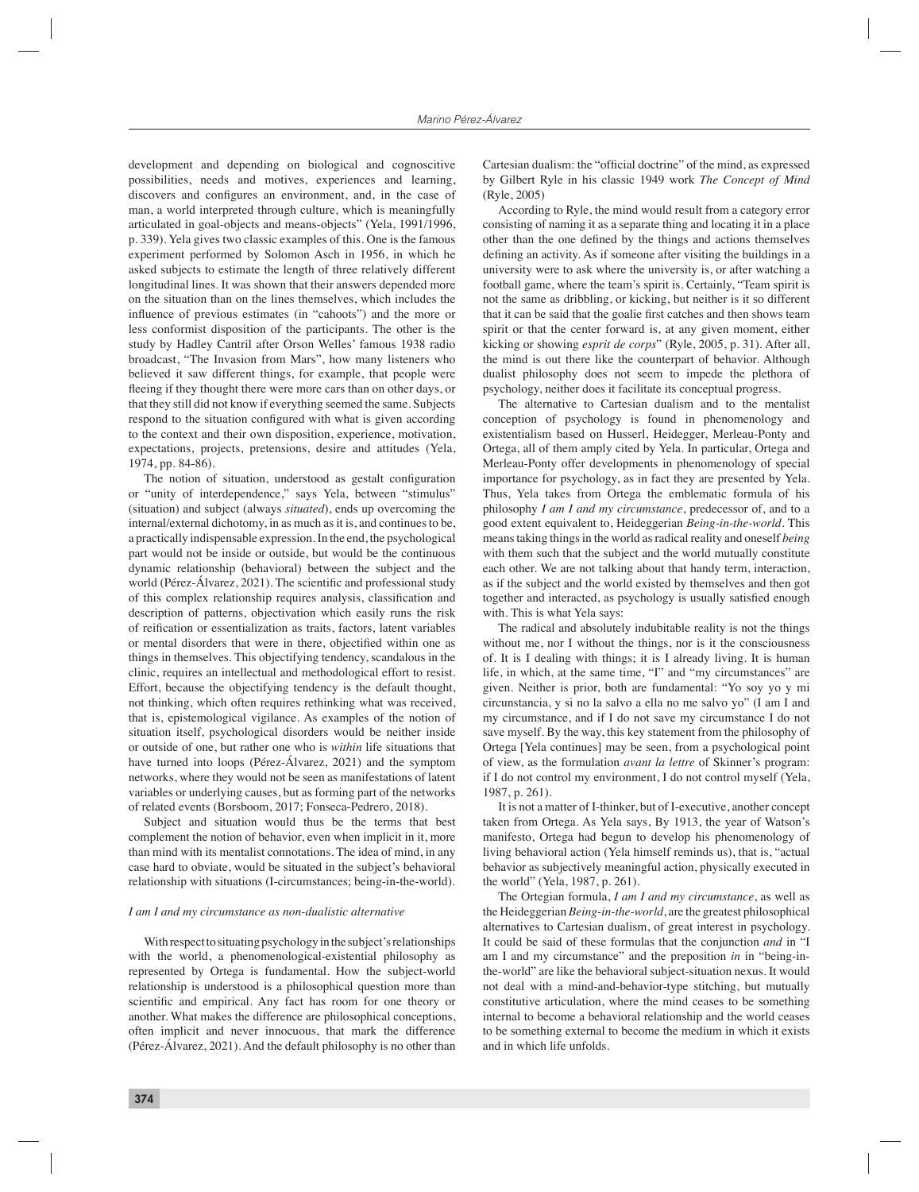development and depending on biological and cognoscitive possibilities, needs and motives, experiences and learning, discovers and configures an environment, and, in the case of man, a world interpreted through culture, which is meaningfully articulated in goal-objects and means-objects" (Yela, 1991/1996, p. 339). Yela gives two classic examples of this. One is the famous experiment performed by Solomon Asch in 1956, in which he asked subjects to estimate the length of three relatively different longitudinal lines. It was shown that their answers depended more on the situation than on the lines themselves, which includes the influence of previous estimates (in "cahoots") and the more or less conformist disposition of the participants. The other is the study by Hadley Cantril after Orson Welles' famous 1938 radio broadcast, "The Invasion from Mars", how many listeners who believed it saw different things, for example, that people were fleeing if they thought there were more cars than on other days, or that they still did not know if everything seemed the same. Subjects respond to the situation configured with what is given according to the context and their own disposition, experience, motivation, expectations, projects, pretensions, desire and attitudes (Yela, 1974, pp. 84-86).

The notion of situation, understood as gestalt configuration or "unity of interdependence," says Yela, between "stimulus" (situation) and subject (always *situated*), ends up overcoming the internal/external dichotomy, in as much as it is, and continues to be, a practically indispensable expression. In the end, the psychological part would not be inside or outside, but would be the continuous dynamic relationship (behavioral) between the subject and the world (Pérez-Álvarez, 2021). The scientific and professional study of this complex relationship requires analysis, classification and description of patterns, objectivation which easily runs the risk of reification or essentialization as traits, factors, latent variables or mental disorders that were in there, objectified within one as things in themselves. This objectifying tendency, scandalous in the clinic, requires an intellectual and methodological effort to resist. Effort, because the objectifying tendency is the default thought, not thinking, which often requires rethinking what was received, that is, epistemological vigilance. As examples of the notion of situation itself, psychological disorders would be neither inside or outside of one, but rather one who is *within* life situations that have turned into loops (Pérez-Álvarez, 2021) and the symptom networks, where they would not be seen as manifestations of latent variables or underlying causes, but as forming part of the networks of related events (Borsboom, 2017; Fonseca-Pedrero, 2018).

Subject and situation would thus be the terms that best complement the notion of behavior, even when implicit in it, more than mind with its mentalist connotations. The idea of mind, in any case hard to obviate, would be situated in the subject's behavioral relationship with situations (I-circumstances; being-in-the-world).

#### *I am I and my circumstance as non-dualistic alternative*

With respect to situating psychology in the subject's relationships with the world, a phenomenological-existential philosophy as represented by Ortega is fundamental. How the subject-world relationship is understood is a philosophical question more than scientific and empirical. Any fact has room for one theory or another. What makes the difference are philosophical conceptions, often implicit and never innocuous, that mark the difference (Pérez-Álvarez, 2021). And the default philosophy is no other than

Cartesian dualism: the "official doctrine" of the mind, as expressed by Gilbert Ryle in his classic 1949 work *The Concept of Mind*  (Ryle, 2005)

According to Ryle, the mind would result from a category error consisting of naming it as a separate thing and locating it in a place other than the one defined by the things and actions themselves defining an activity. As if someone after visiting the buildings in a university were to ask where the university is, or after watching a football game, where the team's spirit is. Certainly, "Team spirit is not the same as dribbling, or kicking, but neither is it so different that it can be said that the goalie first catches and then shows team spirit or that the center forward is, at any given moment, either kicking or showing *esprit de corps*" (Ryle, 2005, p. 31). After all, the mind is out there like the counterpart of behavior. Although dualist philosophy does not seem to impede the plethora of psychology, neither does it facilitate its conceptual progress.

The alternative to Cartesian dualism and to the mentalist conception of psychology is found in phenomenology and existentialism based on Husserl, Heidegger, Merleau-Ponty and Ortega, all of them amply cited by Yela. In particular, Ortega and Merleau-Ponty offer developments in phenomenology of special importance for psychology, as in fact they are presented by Yela. Thus, Yela takes from Ortega the emblematic formula of his philosophy *I am I and my circumstance*, predecessor of, and to a good extent equivalent to, Heideggerian *Being-in-the-world.* This means taking things in the world as radical reality and oneself *being* with them such that the subject and the world mutually constitute each other. We are not talking about that handy term, interaction, as if the subject and the world existed by themselves and then got together and interacted, as psychology is usually satisfied enough with. This is what Yela says:

The radical and absolutely indubitable reality is not the things without me, nor I without the things, nor is it the consciousness of. It is I dealing with things; it is I already living. It is human life, in which, at the same time, "I" and "my circumstances" are given. Neither is prior, both are fundamental: "Yo soy yo y mi circunstancia, y si no la salvo a ella no me salvo yo" (I am I and my circumstance, and if I do not save my circumstance I do not save myself. By the way, this key statement from the philosophy of Ortega [Yela continues] may be seen, from a psychological point of view, as the formulation *avant la lettre* of Skinner's program: if I do not control my environment, I do not control myself (Yela, 1987, p. 261).

It is not a matter of I-thinker, but of I-executive, another concept taken from Ortega. As Yela says, By 1913, the year of Watson's manifesto, Ortega had begun to develop his phenomenology of living behavioral action (Yela himself reminds us), that is, "actual behavior as subjectively meaningful action, physically executed in the world" (Yela, 1987, p. 261).

The Ortegian formula, *I am I and my circumstance*, as well as the Heideggerian *Being-in-the-world*, are the greatest philosophical alternatives to Cartesian dualism, of great interest in psychology. It could be said of these formulas that the conjunction *and* in "I am I and my circumstance" and the preposition *in* in "being-inthe-world" are like the behavioral subject-situation nexus. It would not deal with a mind-and-behavior-type stitching, but mutually constitutive articulation, where the mind ceases to be something internal to become a behavioral relationship and the world ceases to be something external to become the medium in which it exists and in which life unfolds.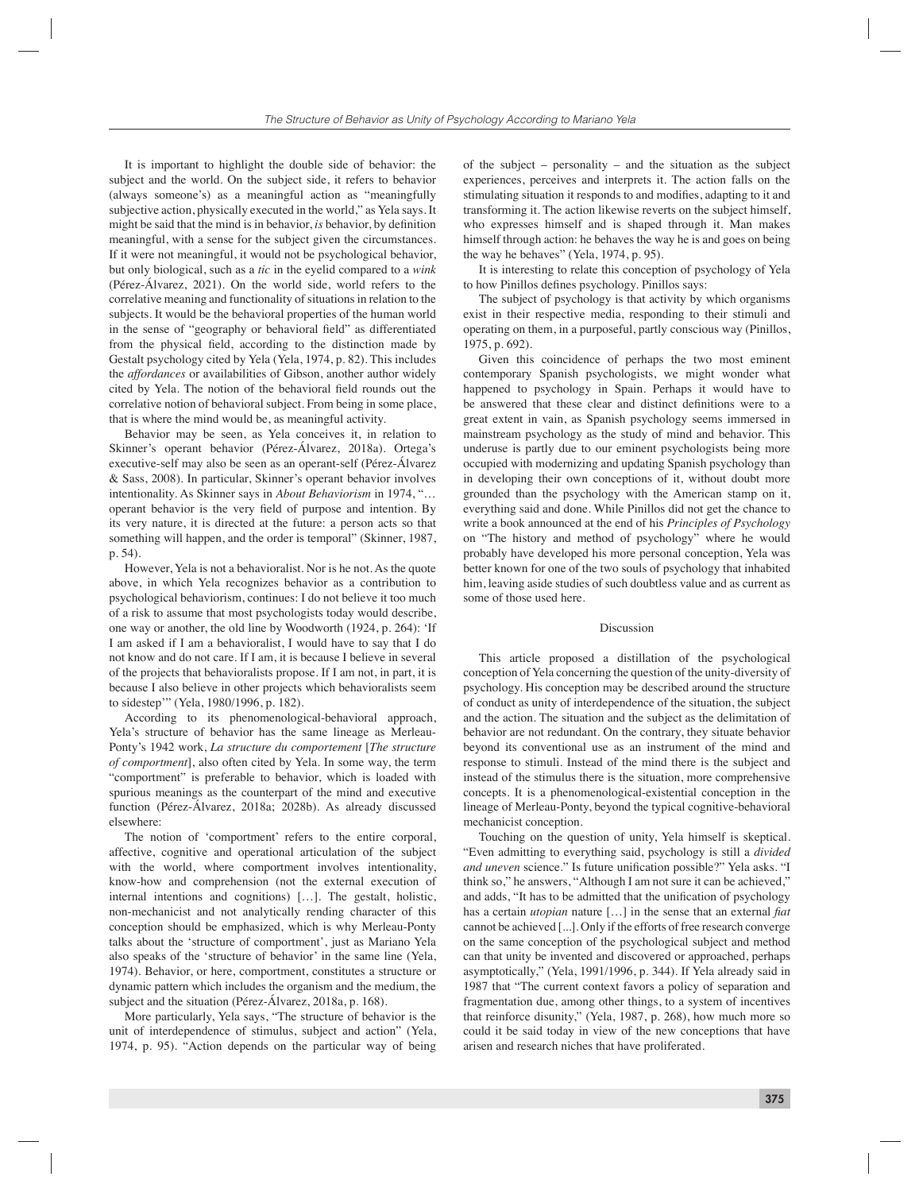It is important to highlight the double side of behavior: the subject and the world. On the subject side, it refers to behavior (always someone's) as a meaningful action as "meaningfully subjective action, physically executed in the world," as Yela says. It might be said that the mind is in behavior, *is* behavior, by definition meaningful, with a sense for the subject given the circumstances. If it were not meaningful, it would not be psychological behavior, but only biological, such as a *tic* in the eyelid compared to a *wink* (Pérez-Álvarez, 2021). On the world side, world refers to the correlative meaning and functionality of situations in relation to the subjects. It would be the behavioral properties of the human world in the sense of "geography or behavioral field" as differentiated from the physical field, according to the distinction made by Gestalt psychology cited by Yela (Yela, 1974, p. 82). This includes the *affordances* or availabilities of Gibson, another author widely cited by Yela. The notion of the behavioral field rounds out the correlative notion of behavioral subject. From being in some place, that is where the mind would be, as meaningful activity.

Behavior may be seen, as Yela conceives it, in relation to Skinner's operant behavior (Pérez-Álvarez, 2018a). Ortega's executive-self may also be seen as an operant-self (Pérez-Álvarez & Sass, 2008). In particular, Skinner's operant behavior involves intentionality. As Skinner says in *About Behaviorism* in 1974, "… operant behavior is the very field of purpose and intention. By its very nature, it is directed at the future: a person acts so that something will happen, and the order is temporal" (Skinner, 1987, p. 54).

However, Yela is not a behavioralist. Nor is he not. As the quote above, in which Yela recognizes behavior as a contribution to psychological behaviorism, continues: I do not believe it too much of a risk to assume that most psychologists today would describe, one way or another, the old line by Woodworth (1924, p. 264): 'If I am asked if I am a behavioralist, I would have to say that I do not know and do not care. If I am, it is because I believe in several of the projects that behavioralists propose. If I am not, in part, it is because I also believe in other projects which behavioralists seem to sidestep'" (Yela, 1980/1996, p. 182).

According to its phenomenological-behavioral approach, Yela's structure of behavior has the same lineage as Merleau-Ponty's 1942 work, *La structure du comportement* [*The structure of comportment*], also often cited by Yela. In some way, the term "comportment" is preferable to behavior, which is loaded with spurious meanings as the counterpart of the mind and executive function (Pérez-Álvarez, 2018a; 2028b). As already discussed elsewhere:

The notion of 'comportment' refers to the entire corporal, affective, cognitive and operational articulation of the subject with the world, where comportment involves intentionality, know-how and comprehension (not the external execution of internal intentions and cognitions) […]. The gestalt, holistic, non-mechanicist and not analytically rending character of this conception should be emphasized, which is why Merleau-Ponty talks about the 'structure of comportment', just as Mariano Yela also speaks of the 'structure of behavior' in the same line (Yela, 1974). Behavior, or here, comportment, constitutes a structure or dynamic pattern which includes the organism and the medium, the subject and the situation (Pérez-Álvarez, 2018a, p. 168).

More particularly, Yela says, "The structure of behavior is the unit of interdependence of stimulus, subject and action" (Yela, 1974, p. 95). "Action depends on the particular way of being

of the subject – personality – and the situation as the subject experiences, perceives and interprets it. The action falls on the stimulating situation it responds to and modifies, adapting to it and transforming it. The action likewise reverts on the subject himself, who expresses himself and is shaped through it. Man makes himself through action: he behaves the way he is and goes on being the way he behaves" (Yela, 1974, p. 95).

It is interesting to relate this conception of psychology of Yela to how Pinillos defines psychology. Pinillos says:

The subject of psychology is that activity by which organisms exist in their respective media, responding to their stimuli and operating on them, in a purposeful, partly conscious way (Pinillos, 1975, p. 692).

Given this coincidence of perhaps the two most eminent contemporary Spanish psychologists, we might wonder what happened to psychology in Spain. Perhaps it would have to be answered that these clear and distinct definitions were to a great extent in vain, as Spanish psychology seems immersed in mainstream psychology as the study of mind and behavior. This underuse is partly due to our eminent psychologists being more occupied with modernizing and updating Spanish psychology than in developing their own conceptions of it, without doubt more grounded than the psychology with the American stamp on it, everything said and done. While Pinillos did not get the chance to write a book announced at the end of his *Principles of Psychology* on "The history and method of psychology" where he would probably have developed his more personal conception, Yela was better known for one of the two souls of psychology that inhabited him, leaving aside studies of such doubtless value and as current as some of those used here.

#### Discussion

This article proposed a distillation of the psychological conception of Yela concerning the question of the unity-diversity of psychology. His conception may be described around the structure of conduct as unity of interdependence of the situation, the subject and the action. The situation and the subject as the delimitation of behavior are not redundant. On the contrary, they situate behavior beyond its conventional use as an instrument of the mind and response to stimuli. Instead of the mind there is the subject and instead of the stimulus there is the situation, more comprehensive concepts. It is a phenomenological-existential conception in the lineage of Merleau-Ponty, beyond the typical cognitive-behavioral mechanicist conception.

Touching on the question of unity, Yela himself is skeptical. "Even admitting to everything said, psychology is still a *divided and uneven science.*" Is future unification possible?" Yela asks. "I think so," he answers, "Although I am not sure it can be achieved," and adds, "It has to be admitted that the unification of psychology has a certain *utopian* nature [...] in the sense that an external *fiat* cannot be achieved [...]. Only if the efforts of free research converge on the same conception of the psychological subject and method can that unity be invented and discovered or approached, perhaps asymptotically," (Yela, 1991/1996, p. 344). If Yela already said in 1987 that "The current context favors a policy of separation and fragmentation due, among other things, to a system of incentives that reinforce disunity," (Yela, 1987, p. 268), how much more so could it be said today in view of the new conceptions that have arisen and research niches that have proliferated.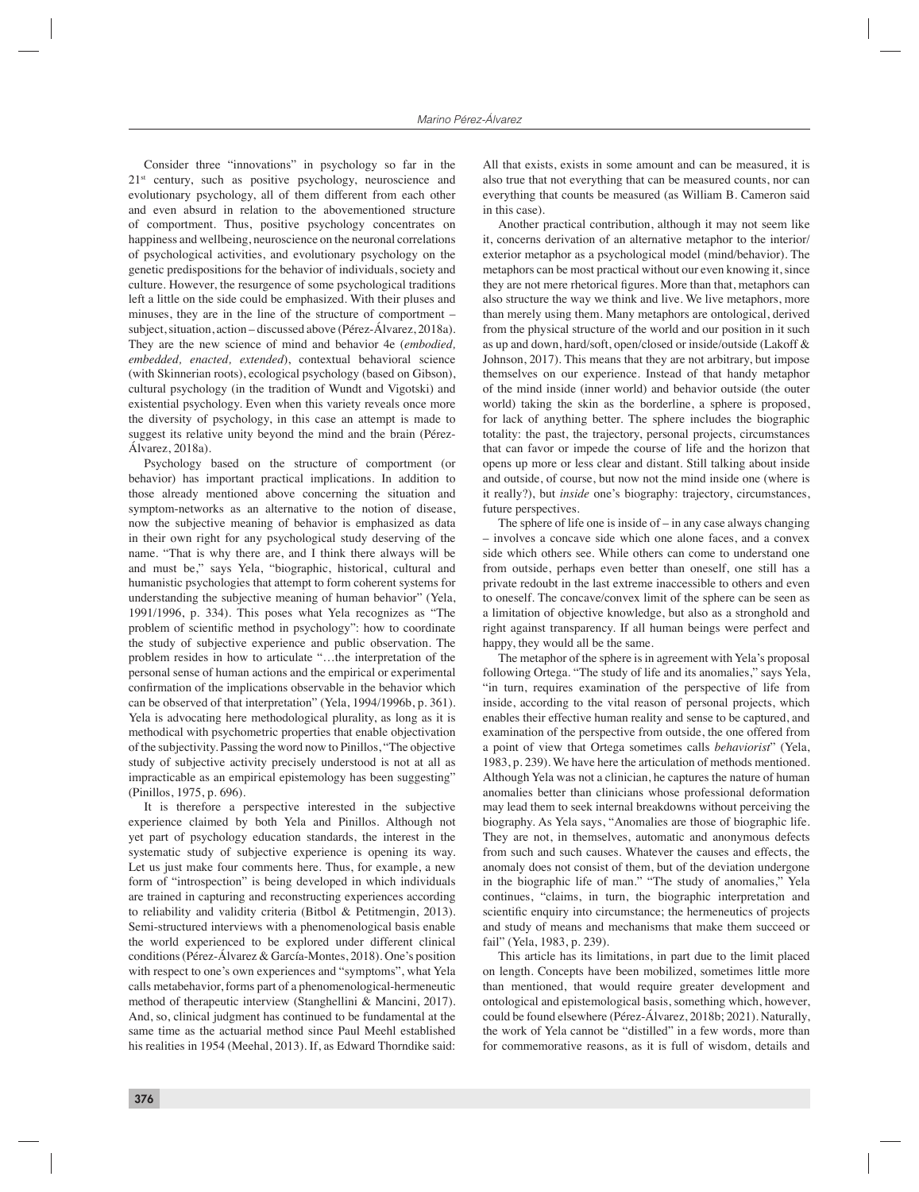Consider three "innovations" in psychology so far in the 21<sup>st</sup> century, such as positive psychology, neuroscience and evolutionary psychology, all of them different from each other and even absurd in relation to the abovementioned structure of comportment. Thus, positive psychology concentrates on happiness and wellbeing, neuroscience on the neuronal correlations of psychological activities, and evolutionary psychology on the genetic predispositions for the behavior of individuals, society and culture. However, the resurgence of some psychological traditions left a little on the side could be emphasized. With their pluses and minuses, they are in the line of the structure of comportment – subject, situation, action – discussed above (Pérez-Álvarez, 2018a). They are the new science of mind and behavior 4e (*embodied, embedded, enacted, extended*), contextual behavioral science (with Skinnerian roots), ecological psychology (based on Gibson), cultural psychology (in the tradition of Wundt and Vigotski) and existential psychology. Even when this variety reveals once more the diversity of psychology, in this case an attempt is made to suggest its relative unity beyond the mind and the brain (Pérez-Álvarez, 2018a).

Psychology based on the structure of comportment (or behavior) has important practical implications. In addition to those already mentioned above concerning the situation and symptom-networks as an alternative to the notion of disease, now the subjective meaning of behavior is emphasized as data in their own right for any psychological study deserving of the name. "That is why there are, and I think there always will be and must be," says Yela, "biographic, historical, cultural and humanistic psychologies that attempt to form coherent systems for understanding the subjective meaning of human behavior" (Yela, 1991/1996, p. 334). This poses what Yela recognizes as "The problem of scientific method in psychology": how to coordinate the study of subjective experience and public observation. The problem resides in how to articulate "…the interpretation of the personal sense of human actions and the empirical or experimental confirmation of the implications observable in the behavior which can be observed of that interpretation" (Yela, 1994/1996b, p. 361). Yela is advocating here methodological plurality, as long as it is methodical with psychometric properties that enable objectivation of the subjectivity. Passing the word now to Pinillos, "The objective study of subjective activity precisely understood is not at all as impracticable as an empirical epistemology has been suggesting" (Pinillos, 1975, p. 696).

It is therefore a perspective interested in the subjective experience claimed by both Yela and Pinillos. Although not yet part of psychology education standards, the interest in the systematic study of subjective experience is opening its way. Let us just make four comments here. Thus, for example, a new form of "introspection" is being developed in which individuals are trained in capturing and reconstructing experiences according to reliability and validity criteria (Bitbol & Petitmengin, 2013). Semi-structured interviews with a phenomenological basis enable the world experienced to be explored under different clinical conditions (Pérez-Álvarez & García-Montes, 2018). One's position with respect to one's own experiences and "symptoms", what Yela calls metabehavior, forms part of a phenomenological-hermeneutic method of therapeutic interview (Stanghellini & Mancini, 2017). And, so, clinical judgment has continued to be fundamental at the same time as the actuarial method since Paul Meehl established his realities in 1954 (Meehal, 2013). If, as Edward Thorndike said:

All that exists, exists in some amount and can be measured, it is also true that not everything that can be measured counts, nor can everything that counts be measured (as William B. Cameron said in this case).

Another practical contribution, although it may not seem like it, concerns derivation of an alternative metaphor to the interior/ exterior metaphor as a psychological model (mind/behavior). The metaphors can be most practical without our even knowing it, since they are not mere rhetorical figures. More than that, metaphors can also structure the way we think and live. We live metaphors, more than merely using them. Many metaphors are ontological, derived from the physical structure of the world and our position in it such as up and down, hard/soft, open/closed or inside/outside (Lakoff & Johnson, 2017). This means that they are not arbitrary, but impose themselves on our experience. Instead of that handy metaphor of the mind inside (inner world) and behavior outside (the outer world) taking the skin as the borderline, a sphere is proposed, for lack of anything better. The sphere includes the biographic totality: the past, the trajectory, personal projects, circumstances that can favor or impede the course of life and the horizon that opens up more or less clear and distant. Still talking about inside and outside, of course, but now not the mind inside one (where is it really?), but *inside* one's biography: trajectory, circumstances, future perspectives.

The sphere of life one is inside of  $-\text{in}$  any case always changing – involves a concave side which one alone faces, and a convex side which others see. While others can come to understand one from outside, perhaps even better than oneself, one still has a private redoubt in the last extreme inaccessible to others and even to oneself. The concave/convex limit of the sphere can be seen as a limitation of objective knowledge, but also as a stronghold and right against transparency. If all human beings were perfect and happy, they would all be the same.

The metaphor of the sphere is in agreement with Yela's proposal following Ortega. "The study of life and its anomalies," says Yela, "in turn, requires examination of the perspective of life from inside, according to the vital reason of personal projects, which enables their effective human reality and sense to be captured, and examination of the perspective from outside, the one offered from a point of view that Ortega sometimes calls *behaviorist*" (Yela, 1983, p. 239). We have here the articulation of methods mentioned. Although Yela was not a clinician, he captures the nature of human anomalies better than clinicians whose professional deformation may lead them to seek internal breakdowns without perceiving the biography. As Yela says, "Anomalies are those of biographic life. They are not, in themselves, automatic and anonymous defects from such and such causes. Whatever the causes and effects, the anomaly does not consist of them, but of the deviation undergone in the biographic life of man." "The study of anomalies," Yela continues, "claims, in turn, the biographic interpretation and scientific enquiry into circumstance; the hermeneutics of projects and study of means and mechanisms that make them succeed or fail" (Yela, 1983, p. 239).

This article has its limitations, in part due to the limit placed on length. Concepts have been mobilized, sometimes little more than mentioned, that would require greater development and ontological and epistemological basis, something which, however, could be found elsewhere (Pérez-Álvarez, 2018b; 2021). Naturally, the work of Yela cannot be "distilled" in a few words, more than for commemorative reasons, as it is full of wisdom, details and